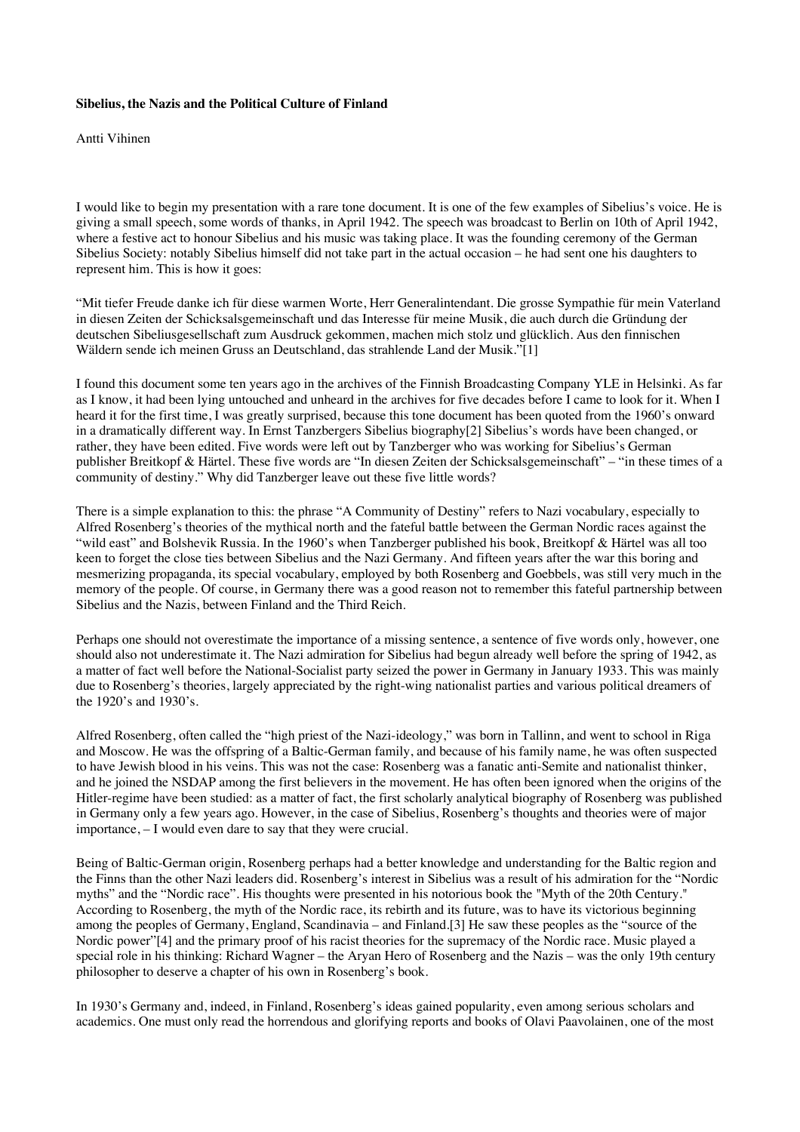## **Sibelius, the Nazis and the Political Culture of Finland**

Antti Vihinen

I would like to begin my presentation with a rare tone document. It is one of the few examples of Sibelius's voice. He is giving a small speech, some words of thanks, in April 1942. The speech was broadcast to Berlin on 10th of April 1942, where a festive act to honour Sibelius and his music was taking place. It was the founding ceremony of the German Sibelius Society: notably Sibelius himself did not take part in the actual occasion – he had sent one his daughters to represent him. This is how it goes:

"Mit tiefer Freude danke ich für diese warmen Worte, Herr Generalintendant. Die grosse Sympathie für mein Vaterland in diesen Zeiten der Schicksalsgemeinschaft und das Interesse für meine Musik, die auch durch die Gründung der deutschen Sibeliusgesellschaft zum Ausdruck gekommen, machen mich stolz und glücklich. Aus den finnischen Wäldern sende ich meinen Gruss an Deutschland, das strahlende Land der Musik."[1]

I found this document some ten years ago in the archives of the Finnish Broadcasting Company YLE in Helsinki. As far as I know, it had been lying untouched and unheard in the archives for five decades before I came to look for it. When I heard it for the first time, I was greatly surprised, because this tone document has been quoted from the 1960's onward in a dramatically different way. In Ernst Tanzbergers Sibelius biography[2] Sibelius's words have been changed, or rather, they have been edited. Five words were left out by Tanzberger who was working for Sibelius's German publisher Breitkopf & Härtel. These five words are "In diesen Zeiten der Schicksalsgemeinschaft" – "in these times of a community of destiny." Why did Tanzberger leave out these five little words?

There is a simple explanation to this: the phrase "A Community of Destiny" refers to Nazi vocabulary, especially to Alfred Rosenberg's theories of the mythical north and the fateful battle between the German Nordic races against the "wild east" and Bolshevik Russia. In the 1960's when Tanzberger published his book, Breitkopf & Härtel was all too keen to forget the close ties between Sibelius and the Nazi Germany. And fifteen years after the war this boring and mesmerizing propaganda, its special vocabulary, employed by both Rosenberg and Goebbels, was still very much in the memory of the people. Of course, in Germany there was a good reason not to remember this fateful partnership between Sibelius and the Nazis, between Finland and the Third Reich.

Perhaps one should not overestimate the importance of a missing sentence, a sentence of five words only, however, one should also not underestimate it. The Nazi admiration for Sibelius had begun already well before the spring of 1942, as a matter of fact well before the National-Socialist party seized the power in Germany in January 1933. This was mainly due to Rosenberg's theories, largely appreciated by the right-wing nationalist parties and various political dreamers of the 1920's and 1930's.

Alfred Rosenberg, often called the "high priest of the Nazi-ideology," was born in Tallinn, and went to school in Riga and Moscow. He was the offspring of a Baltic-German family, and because of his family name, he was often suspected to have Jewish blood in his veins. This was not the case: Rosenberg was a fanatic anti-Semite and nationalist thinker, and he joined the NSDAP among the first believers in the movement. He has often been ignored when the origins of the Hitler-regime have been studied: as a matter of fact, the first scholarly analytical biography of Rosenberg was published in Germany only a few years ago. However, in the case of Sibelius, Rosenberg's thoughts and theories were of major importance, – I would even dare to say that they were crucial.

Being of Baltic-German origin, Rosenberg perhaps had a better knowledge and understanding for the Baltic region and the Finns than the other Nazi leaders did. Rosenberg's interest in Sibelius was a result of his admiration for the "Nordic myths" and the "Nordic race". His thoughts were presented in his notorious book the "Myth of the 20th Century." According to Rosenberg, the myth of the Nordic race, its rebirth and its future, was to have its victorious beginning among the peoples of Germany, England, Scandinavia – and Finland.[3] He saw these peoples as the "source of the Nordic power"[4] and the primary proof of his racist theories for the supremacy of the Nordic race. Music played a special role in his thinking: Richard Wagner – the Aryan Hero of Rosenberg and the Nazis – was the only 19th century philosopher to deserve a chapter of his own in Rosenberg's book.

In 1930's Germany and, indeed, in Finland, Rosenberg's ideas gained popularity, even among serious scholars and academics. One must only read the horrendous and glorifying reports and books of Olavi Paavolainen, one of the most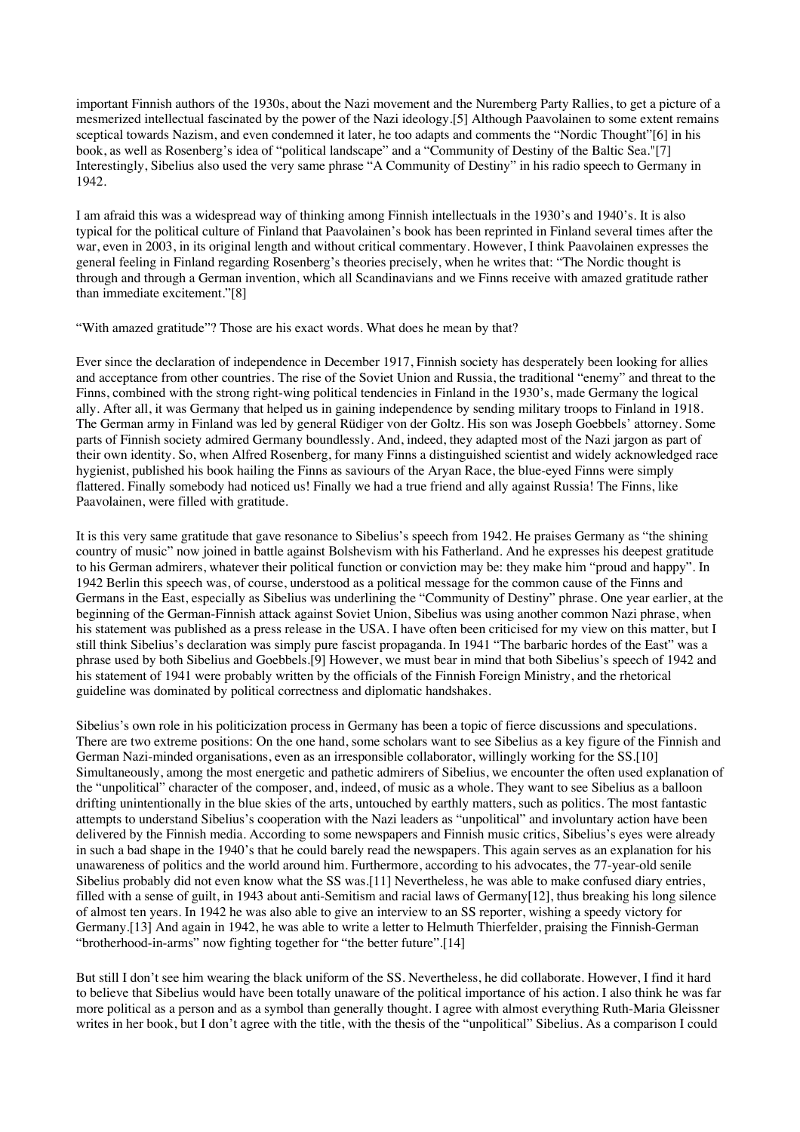important Finnish authors of the 1930s, about the Nazi movement and the Nuremberg Party Rallies, to get a picture of a mesmerized intellectual fascinated by the power of the Nazi ideology.[5] Although Paavolainen to some extent remains sceptical towards Nazism, and even condemned it later, he too adapts and comments the "Nordic Thought"[6] in his book, as well as Rosenberg's idea of "political landscape" and a "Community of Destiny of the Baltic Sea."[7] Interestingly, Sibelius also used the very same phrase "A Community of Destiny" in his radio speech to Germany in 1942.

I am afraid this was a widespread way of thinking among Finnish intellectuals in the 1930's and 1940's. It is also typical for the political culture of Finland that Paavolainen's book has been reprinted in Finland several times after the war, even in 2003, in its original length and without critical commentary. However, I think Paavolainen expresses the general feeling in Finland regarding Rosenberg's theories precisely, when he writes that: "The Nordic thought is through and through a German invention, which all Scandinavians and we Finns receive with amazed gratitude rather than immediate excitement."[8]

"With amazed gratitude"? Those are his exact words. What does he mean by that?

Ever since the declaration of independence in December 1917, Finnish society has desperately been looking for allies and acceptance from other countries. The rise of the Soviet Union and Russia, the traditional "enemy" and threat to the Finns, combined with the strong right-wing political tendencies in Finland in the 1930's, made Germany the logical ally. After all, it was Germany that helped us in gaining independence by sending military troops to Finland in 1918. The German army in Finland was led by general Rüdiger von der Goltz. His son was Joseph Goebbels' attorney. Some parts of Finnish society admired Germany boundlessly. And, indeed, they adapted most of the Nazi jargon as part of their own identity. So, when Alfred Rosenberg, for many Finns a distinguished scientist and widely acknowledged race hygienist, published his book hailing the Finns as saviours of the Aryan Race, the blue-eyed Finns were simply flattered. Finally somebody had noticed us! Finally we had a true friend and ally against Russia! The Finns, like Paavolainen, were filled with gratitude.

It is this very same gratitude that gave resonance to Sibelius's speech from 1942. He praises Germany as "the shining country of music" now joined in battle against Bolshevism with his Fatherland. And he expresses his deepest gratitude to his German admirers, whatever their political function or conviction may be: they make him "proud and happy". In 1942 Berlin this speech was, of course, understood as a political message for the common cause of the Finns and Germans in the East, especially as Sibelius was underlining the "Community of Destiny" phrase. One year earlier, at the beginning of the German-Finnish attack against Soviet Union, Sibelius was using another common Nazi phrase, when his statement was published as a press release in the USA. I have often been criticised for my view on this matter, but I still think Sibelius's declaration was simply pure fascist propaganda. In 1941 "The barbaric hordes of the East" was a phrase used by both Sibelius and Goebbels.[9] However, we must bear in mind that both Sibelius's speech of 1942 and his statement of 1941 were probably written by the officials of the Finnish Foreign Ministry, and the rhetorical guideline was dominated by political correctness and diplomatic handshakes.

Sibelius's own role in his politicization process in Germany has been a topic of fierce discussions and speculations. There are two extreme positions: On the one hand, some scholars want to see Sibelius as a key figure of the Finnish and German Nazi-minded organisations, even as an irresponsible collaborator, willingly working for the SS.[10] Simultaneously, among the most energetic and pathetic admirers of Sibelius, we encounter the often used explanation of the "unpolitical" character of the composer, and, indeed, of music as a whole. They want to see Sibelius as a balloon drifting unintentionally in the blue skies of the arts, untouched by earthly matters, such as politics. The most fantastic attempts to understand Sibelius's cooperation with the Nazi leaders as "unpolitical" and involuntary action have been delivered by the Finnish media. According to some newspapers and Finnish music critics, Sibelius's eyes were already in such a bad shape in the 1940's that he could barely read the newspapers. This again serves as an explanation for his unawareness of politics and the world around him. Furthermore, according to his advocates, the 77-year-old senile Sibelius probably did not even know what the SS was.[11] Nevertheless, he was able to make confused diary entries, filled with a sense of guilt, in 1943 about anti-Semitism and racial laws of Germany[12], thus breaking his long silence of almost ten years. In 1942 he was also able to give an interview to an SS reporter, wishing a speedy victory for Germany.[13] And again in 1942, he was able to write a letter to Helmuth Thierfelder, praising the Finnish-German "brotherhood-in-arms" now fighting together for "the better future".[14]

But still I don't see him wearing the black uniform of the SS. Nevertheless, he did collaborate. However, I find it hard to believe that Sibelius would have been totally unaware of the political importance of his action. I also think he was far more political as a person and as a symbol than generally thought. I agree with almost everything Ruth-Maria Gleissner writes in her book, but I don't agree with the title, with the thesis of the "unpolitical" Sibelius. As a comparison I could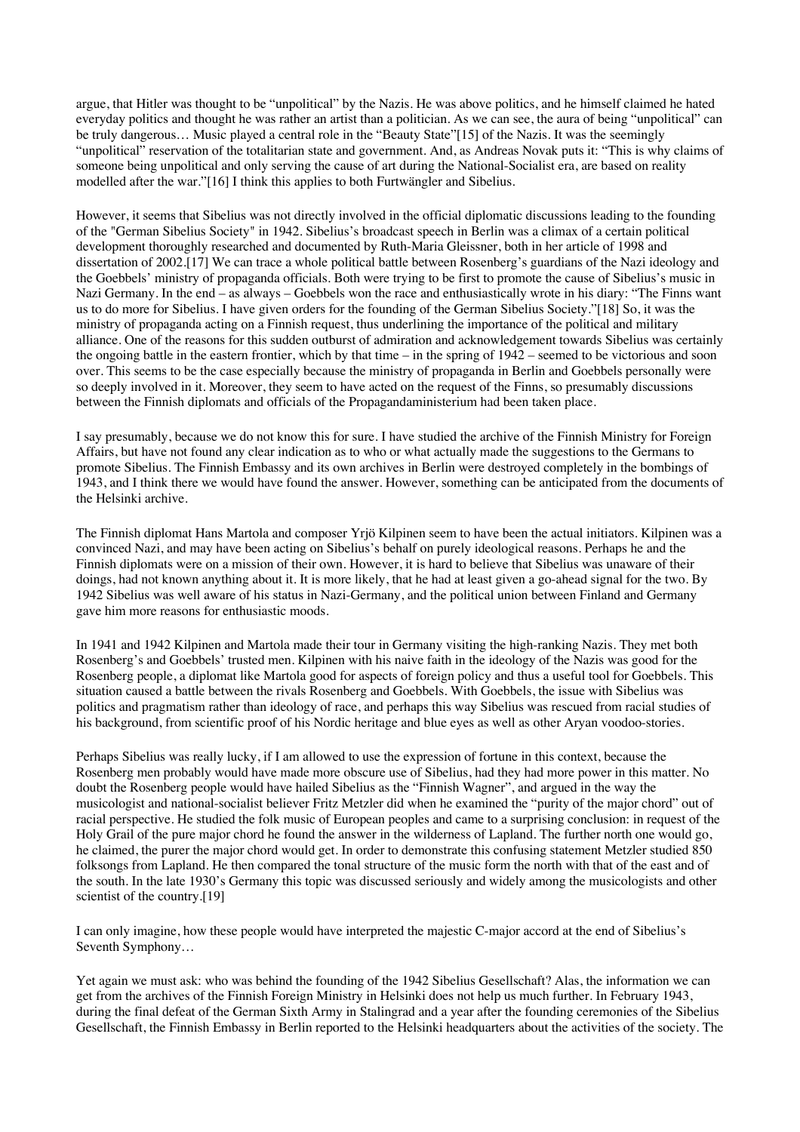argue, that Hitler was thought to be "unpolitical" by the Nazis. He was above politics, and he himself claimed he hated everyday politics and thought he was rather an artist than a politician. As we can see, the aura of being "unpolitical" can be truly dangerous… Music played a central role in the "Beauty State"[15] of the Nazis. It was the seemingly "unpolitical" reservation of the totalitarian state and government. And, as Andreas Novak puts it: "This is why claims of someone being unpolitical and only serving the cause of art during the National-Socialist era, are based on reality modelled after the war."[16] I think this applies to both Furtwängler and Sibelius.

However, it seems that Sibelius was not directly involved in the official diplomatic discussions leading to the founding of the "German Sibelius Society" in 1942. Sibelius's broadcast speech in Berlin was a climax of a certain political development thoroughly researched and documented by Ruth-Maria Gleissner, both in her article of 1998 and dissertation of 2002.[17] We can trace a whole political battle between Rosenberg's guardians of the Nazi ideology and the Goebbels' ministry of propaganda officials. Both were trying to be first to promote the cause of Sibelius's music in Nazi Germany. In the end – as always – Goebbels won the race and enthusiastically wrote in his diary: "The Finns want us to do more for Sibelius. I have given orders for the founding of the German Sibelius Society."[18] So, it was the ministry of propaganda acting on a Finnish request, thus underlining the importance of the political and military alliance. One of the reasons for this sudden outburst of admiration and acknowledgement towards Sibelius was certainly the ongoing battle in the eastern frontier, which by that time – in the spring of 1942 – seemed to be victorious and soon over. This seems to be the case especially because the ministry of propaganda in Berlin and Goebbels personally were so deeply involved in it. Moreover, they seem to have acted on the request of the Finns, so presumably discussions between the Finnish diplomats and officials of the Propagandaministerium had been taken place.

I say presumably, because we do not know this for sure. I have studied the archive of the Finnish Ministry for Foreign Affairs, but have not found any clear indication as to who or what actually made the suggestions to the Germans to promote Sibelius. The Finnish Embassy and its own archives in Berlin were destroyed completely in the bombings of 1943, and I think there we would have found the answer. However, something can be anticipated from the documents of the Helsinki archive.

The Finnish diplomat Hans Martola and composer Yrjö Kilpinen seem to have been the actual initiators. Kilpinen was a convinced Nazi, and may have been acting on Sibelius's behalf on purely ideological reasons. Perhaps he and the Finnish diplomats were on a mission of their own. However, it is hard to believe that Sibelius was unaware of their doings, had not known anything about it. It is more likely, that he had at least given a go-ahead signal for the two. By 1942 Sibelius was well aware of his status in Nazi-Germany, and the political union between Finland and Germany gave him more reasons for enthusiastic moods.

In 1941 and 1942 Kilpinen and Martola made their tour in Germany visiting the high-ranking Nazis. They met both Rosenberg's and Goebbels' trusted men. Kilpinen with his naive faith in the ideology of the Nazis was good for the Rosenberg people, a diplomat like Martola good for aspects of foreign policy and thus a useful tool for Goebbels. This situation caused a battle between the rivals Rosenberg and Goebbels. With Goebbels, the issue with Sibelius was politics and pragmatism rather than ideology of race, and perhaps this way Sibelius was rescued from racial studies of his background, from scientific proof of his Nordic heritage and blue eyes as well as other Aryan voodoo-stories.

Perhaps Sibelius was really lucky, if I am allowed to use the expression of fortune in this context, because the Rosenberg men probably would have made more obscure use of Sibelius, had they had more power in this matter. No doubt the Rosenberg people would have hailed Sibelius as the "Finnish Wagner", and argued in the way the musicologist and national-socialist believer Fritz Metzler did when he examined the "purity of the major chord" out of racial perspective. He studied the folk music of European peoples and came to a surprising conclusion: in request of the Holy Grail of the pure major chord he found the answer in the wilderness of Lapland. The further north one would go, he claimed, the purer the major chord would get. In order to demonstrate this confusing statement Metzler studied 850 folksongs from Lapland. He then compared the tonal structure of the music form the north with that of the east and of the south. In the late 1930's Germany this topic was discussed seriously and widely among the musicologists and other scientist of the country.[19]

I can only imagine, how these people would have interpreted the majestic C-major accord at the end of Sibelius's Seventh Symphony…

Yet again we must ask: who was behind the founding of the 1942 Sibelius Gesellschaft? Alas, the information we can get from the archives of the Finnish Foreign Ministry in Helsinki does not help us much further. In February 1943, during the final defeat of the German Sixth Army in Stalingrad and a year after the founding ceremonies of the Sibelius Gesellschaft, the Finnish Embassy in Berlin reported to the Helsinki headquarters about the activities of the society. The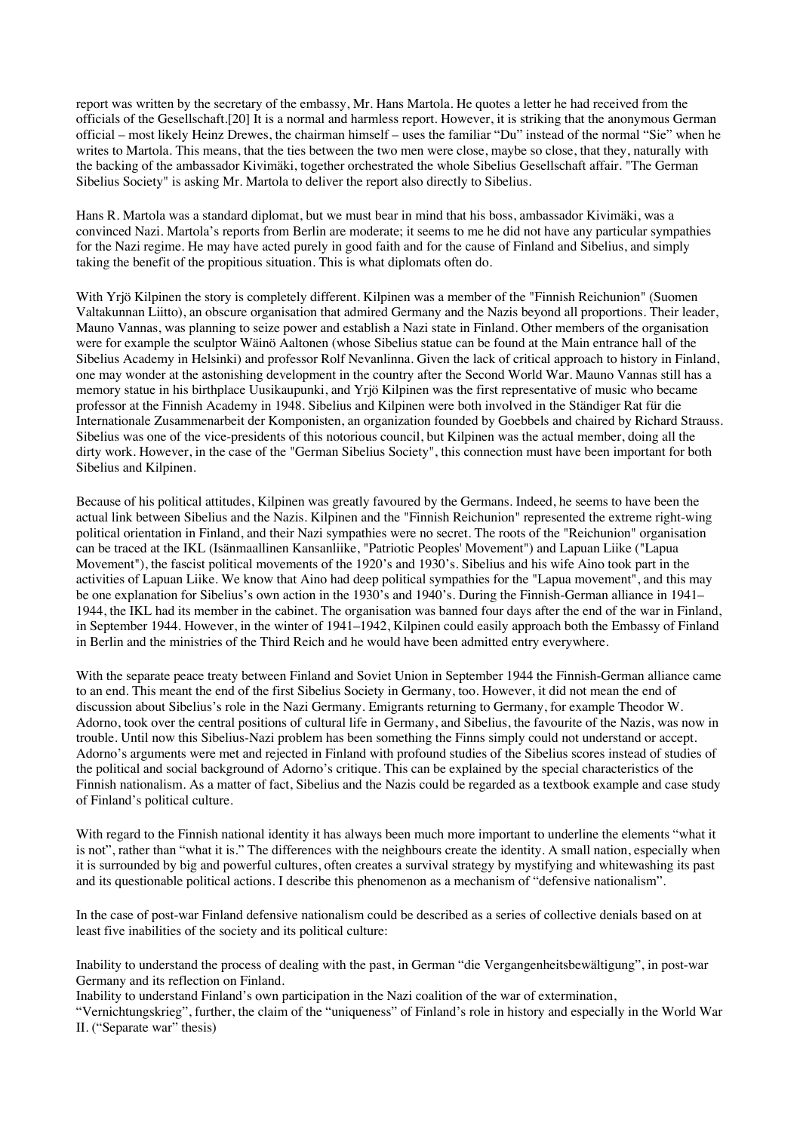report was written by the secretary of the embassy, Mr. Hans Martola. He quotes a letter he had received from the officials of the Gesellschaft.[20] It is a normal and harmless report. However, it is striking that the anonymous German official – most likely Heinz Drewes, the chairman himself – uses the familiar "Du" instead of the normal "Sie" when he writes to Martola. This means, that the ties between the two men were close, maybe so close, that they, naturally with the backing of the ambassador Kivimäki, together orchestrated the whole Sibelius Gesellschaft affair. "The German Sibelius Society" is asking Mr. Martola to deliver the report also directly to Sibelius.

Hans R. Martola was a standard diplomat, but we must bear in mind that his boss, ambassador Kivimäki, was a convinced Nazi. Martola's reports from Berlin are moderate; it seems to me he did not have any particular sympathies for the Nazi regime. He may have acted purely in good faith and for the cause of Finland and Sibelius, and simply taking the benefit of the propitious situation. This is what diplomats often do.

With Yrjö Kilpinen the story is completely different. Kilpinen was a member of the "Finnish Reichunion" (Suomen Valtakunnan Liitto), an obscure organisation that admired Germany and the Nazis beyond all proportions. Their leader, Mauno Vannas, was planning to seize power and establish a Nazi state in Finland. Other members of the organisation were for example the sculptor Wäinö Aaltonen (whose Sibelius statue can be found at the Main entrance hall of the Sibelius Academy in Helsinki) and professor Rolf Nevanlinna. Given the lack of critical approach to history in Finland, one may wonder at the astonishing development in the country after the Second World War. Mauno Vannas still has a memory statue in his birthplace Uusikaupunki, and Yrjö Kilpinen was the first representative of music who became professor at the Finnish Academy in 1948. Sibelius and Kilpinen were both involved in the Ständiger Rat für die Internationale Zusammenarbeit der Komponisten, an organization founded by Goebbels and chaired by Richard Strauss. Sibelius was one of the vice-presidents of this notorious council, but Kilpinen was the actual member, doing all the dirty work. However, in the case of the "German Sibelius Society", this connection must have been important for both Sibelius and Kilpinen.

Because of his political attitudes, Kilpinen was greatly favoured by the Germans. Indeed, he seems to have been the actual link between Sibelius and the Nazis. Kilpinen and the "Finnish Reichunion" represented the extreme right-wing political orientation in Finland, and their Nazi sympathies were no secret. The roots of the "Reichunion" organisation can be traced at the IKL (Isänmaallinen Kansanliike, "Patriotic Peoples' Movement") and Lapuan Liike ("Lapua Movement"), the fascist political movements of the 1920's and 1930's. Sibelius and his wife Aino took part in the activities of Lapuan Liike. We know that Aino had deep political sympathies for the "Lapua movement", and this may be one explanation for Sibelius's own action in the 1930's and 1940's. During the Finnish-German alliance in 1941– 1944, the IKL had its member in the cabinet. The organisation was banned four days after the end of the war in Finland, in September 1944. However, in the winter of 1941–1942, Kilpinen could easily approach both the Embassy of Finland in Berlin and the ministries of the Third Reich and he would have been admitted entry everywhere.

With the separate peace treaty between Finland and Soviet Union in September 1944 the Finnish-German alliance came to an end. This meant the end of the first Sibelius Society in Germany, too. However, it did not mean the end of discussion about Sibelius's role in the Nazi Germany. Emigrants returning to Germany, for example Theodor W. Adorno, took over the central positions of cultural life in Germany, and Sibelius, the favourite of the Nazis, was now in trouble. Until now this Sibelius-Nazi problem has been something the Finns simply could not understand or accept. Adorno's arguments were met and rejected in Finland with profound studies of the Sibelius scores instead of studies of the political and social background of Adorno's critique. This can be explained by the special characteristics of the Finnish nationalism. As a matter of fact, Sibelius and the Nazis could be regarded as a textbook example and case study of Finland's political culture.

With regard to the Finnish national identity it has always been much more important to underline the elements "what it is not", rather than "what it is." The differences with the neighbours create the identity. A small nation, especially when it is surrounded by big and powerful cultures, often creates a survival strategy by mystifying and whitewashing its past and its questionable political actions. I describe this phenomenon as a mechanism of "defensive nationalism".

In the case of post-war Finland defensive nationalism could be described as a series of collective denials based on at least five inabilities of the society and its political culture:

Inability to understand the process of dealing with the past, in German "die Vergangenheitsbewältigung", in post-war Germany and its reflection on Finland.

Inability to understand Finland's own participation in the Nazi coalition of the war of extermination,

"Vernichtungskrieg", further, the claim of the "uniqueness" of Finland's role in history and especially in the World War II. ("Separate war" thesis)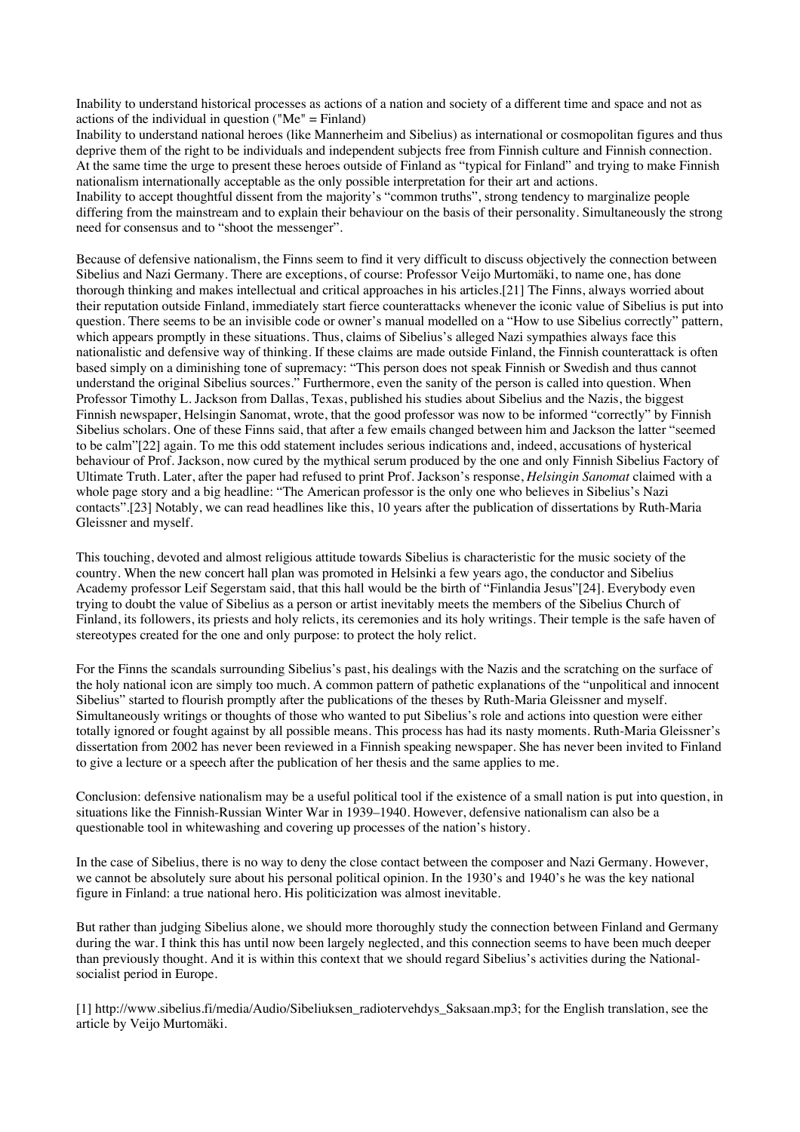Inability to understand historical processes as actions of a nation and society of a different time and space and not as actions of the individual in question ("Me" = Finland)

Inability to understand national heroes (like Mannerheim and Sibelius) as international or cosmopolitan figures and thus deprive them of the right to be individuals and independent subjects free from Finnish culture and Finnish connection. At the same time the urge to present these heroes outside of Finland as "typical for Finland" and trying to make Finnish nationalism internationally acceptable as the only possible interpretation for their art and actions. Inability to accept thoughtful dissent from the majority's "common truths", strong tendency to marginalize people differing from the mainstream and to explain their behaviour on the basis of their personality. Simultaneously the strong need for consensus and to "shoot the messenger".

Because of defensive nationalism, the Finns seem to find it very difficult to discuss objectively the connection between Sibelius and Nazi Germany. There are exceptions, of course: Professor Veijo Murtomäki, to name one, has done thorough thinking and makes intellectual and critical approaches in his articles.[21] The Finns, always worried about their reputation outside Finland, immediately start fierce counterattacks whenever the iconic value of Sibelius is put into question. There seems to be an invisible code or owner's manual modelled on a "How to use Sibelius correctly" pattern, which appears promptly in these situations. Thus, claims of Sibelius's alleged Nazi sympathies always face this nationalistic and defensive way of thinking. If these claims are made outside Finland, the Finnish counterattack is often based simply on a diminishing tone of supremacy: "This person does not speak Finnish or Swedish and thus cannot understand the original Sibelius sources." Furthermore, even the sanity of the person is called into question. When Professor Timothy L. Jackson from Dallas, Texas, published his studies about Sibelius and the Nazis, the biggest Finnish newspaper, Helsingin Sanomat, wrote, that the good professor was now to be informed "correctly" by Finnish Sibelius scholars. One of these Finns said, that after a few emails changed between him and Jackson the latter "seemed to be calm"[22] again. To me this odd statement includes serious indications and, indeed, accusations of hysterical behaviour of Prof. Jackson, now cured by the mythical serum produced by the one and only Finnish Sibelius Factory of Ultimate Truth. Later, after the paper had refused to print Prof. Jackson's response, *Helsingin Sanomat* claimed with a whole page story and a big headline: "The American professor is the only one who believes in Sibelius's Nazi contacts".[23] Notably, we can read headlines like this, 10 years after the publication of dissertations by Ruth-Maria Gleissner and myself.

This touching, devoted and almost religious attitude towards Sibelius is characteristic for the music society of the country. When the new concert hall plan was promoted in Helsinki a few years ago, the conductor and Sibelius Academy professor Leif Segerstam said, that this hall would be the birth of "Finlandia Jesus"[24]. Everybody even trying to doubt the value of Sibelius as a person or artist inevitably meets the members of the Sibelius Church of Finland, its followers, its priests and holy relicts, its ceremonies and its holy writings. Their temple is the safe haven of stereotypes created for the one and only purpose: to protect the holy relict.

For the Finns the scandals surrounding Sibelius's past, his dealings with the Nazis and the scratching on the surface of the holy national icon are simply too much. A common pattern of pathetic explanations of the "unpolitical and innocent Sibelius" started to flourish promptly after the publications of the theses by Ruth-Maria Gleissner and myself. Simultaneously writings or thoughts of those who wanted to put Sibelius's role and actions into question were either totally ignored or fought against by all possible means. This process has had its nasty moments. Ruth-Maria Gleissner's dissertation from 2002 has never been reviewed in a Finnish speaking newspaper. She has never been invited to Finland to give a lecture or a speech after the publication of her thesis and the same applies to me.

Conclusion: defensive nationalism may be a useful political tool if the existence of a small nation is put into question, in situations like the Finnish-Russian Winter War in 1939–1940. However, defensive nationalism can also be a questionable tool in whitewashing and covering up processes of the nation's history.

In the case of Sibelius, there is no way to deny the close contact between the composer and Nazi Germany. However, we cannot be absolutely sure about his personal political opinion. In the 1930's and 1940's he was the key national figure in Finland: a true national hero. His politicization was almost inevitable.

But rather than judging Sibelius alone, we should more thoroughly study the connection between Finland and Germany during the war. I think this has until now been largely neglected, and this connection seems to have been much deeper than previously thought. And it is within this context that we should regard Sibelius's activities during the Nationalsocialist period in Europe.

[1] http://www.sibelius.fi/media/Audio/Sibeliuksen\_radiotervehdys\_Saksaan.mp3; for the English translation, see the article by Veijo Murtomäki.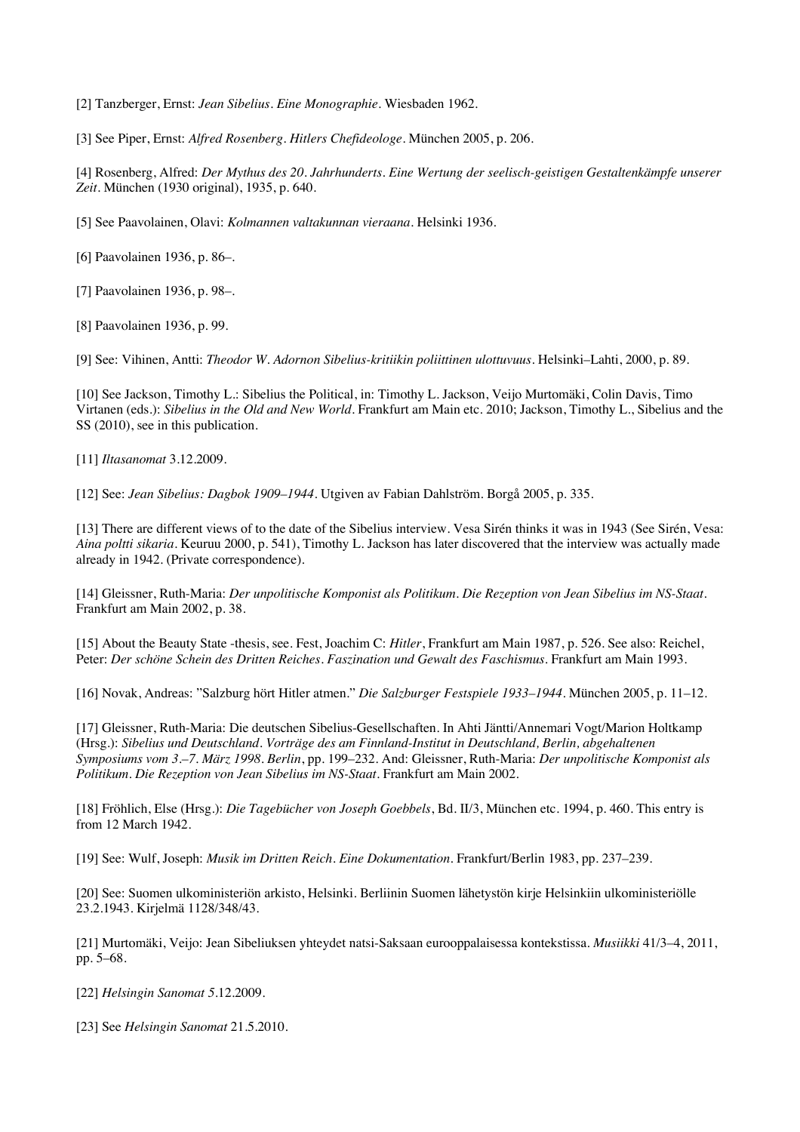[2] Tanzberger, Ernst: *Jean Sibelius. Eine Monographie*. Wiesbaden 1962.

[3] See Piper, Ernst: *Alfred Rosenberg. Hitlers Chefideologe*. München 2005, p. 206.

[4] Rosenberg, Alfred: *Der Mythus des 20. Jahrhunderts. Eine Wertung der seelisch-geistigen Gestaltenkämpfe unserer Zeit*. München (1930 original), 1935, p. 640.

[5] See Paavolainen, Olavi: *Kolmannen valtakunnan vieraana*. Helsinki 1936.

[6] Paavolainen 1936, p. 86–.

[7] Paavolainen 1936, p. 98–.

[8] Paavolainen 1936, p. 99.

[9] See: Vihinen, Antti: *Theodor W. Adornon Sibelius-kritiikin poliittinen ulottuvuus*. Helsinki–Lahti, 2000, p. 89.

[10] See Jackson, Timothy L.: Sibelius the Political, in: Timothy L. Jackson, Veijo Murtomäki, Colin Davis, Timo Virtanen (eds.): *Sibelius in the Old and New World*. Frankfurt am Main etc. 2010; Jackson, Timothy L., Sibelius and the SS (2010), see in this publication.

[11] *Iltasanomat* 3.12.2009.

[12] See: *Jean Sibelius: Dagbok 1909–1944*. Utgiven av Fabian Dahlström. Borgå 2005, p. 335.

[13] There are different views of to the date of the Sibelius interview. Vesa Sirén thinks it was in 1943 (See Sirén, Vesa: *Aina poltti sikaria*. Keuruu 2000, p. 541), Timothy L. Jackson has later discovered that the interview was actually made already in 1942. (Private correspondence).

[14] Gleissner, Ruth-Maria: *Der unpolitische Komponist als Politikum. Die Rezeption von Jean Sibelius im NS-Staat*. Frankfurt am Main 2002, p. 38.

[15] About the Beauty State -thesis, see. Fest, Joachim C: *Hitler*, Frankfurt am Main 1987, p. 526. See also: Reichel, Peter: *Der schöne Schein des Dritten Reiches. Faszination und Gewalt des Faschismus*. Frankfurt am Main 1993.

[16] Novak, Andreas: "Salzburg hört Hitler atmen." *Die Salzburger Festspiele 1933–1944*. München 2005, p. 11–12.

[17] Gleissner, Ruth-Maria: Die deutschen Sibelius-Gesellschaften. In Ahti Jäntti/Annemari Vogt/Marion Holtkamp (Hrsg.): *Sibelius und Deutschland. Vorträge des am Finnland-Institut in Deutschland, Berlin, abgehaltenen Symposiums vom 3.–7. März 1998. Berlin*, pp. 199–232. And: Gleissner, Ruth-Maria: *Der unpolitische Komponist als Politikum. Die Rezeption von Jean Sibelius im NS-Staat*. Frankfurt am Main 2002.

[18] Fröhlich, Else (Hrsg.): *Die Tagebücher von Joseph Goebbels*, Bd. II/3, München etc. 1994, p. 460. This entry is from 12 March 1942.

[19] See: Wulf, Joseph: *Musik im Dritten Reich. Eine Dokumentation*. Frankfurt/Berlin 1983, pp. 237–239.

[20] See: Suomen ulkoministeriön arkisto, Helsinki. Berliinin Suomen lähetystön kirje Helsinkiin ulkoministeriölle 23.2.1943. Kirjelmä 1128/348/43.

[21] Murtomäki, Veijo: Jean Sibeliuksen yhteydet natsi-Saksaan eurooppalaisessa kontekstissa. *Musiikki* 41/3–4, 2011, pp. 5–68.

[22] *Helsingin Sanomat 5*.12.2009.

[23] See *Helsingin Sanomat* 21.5.2010.